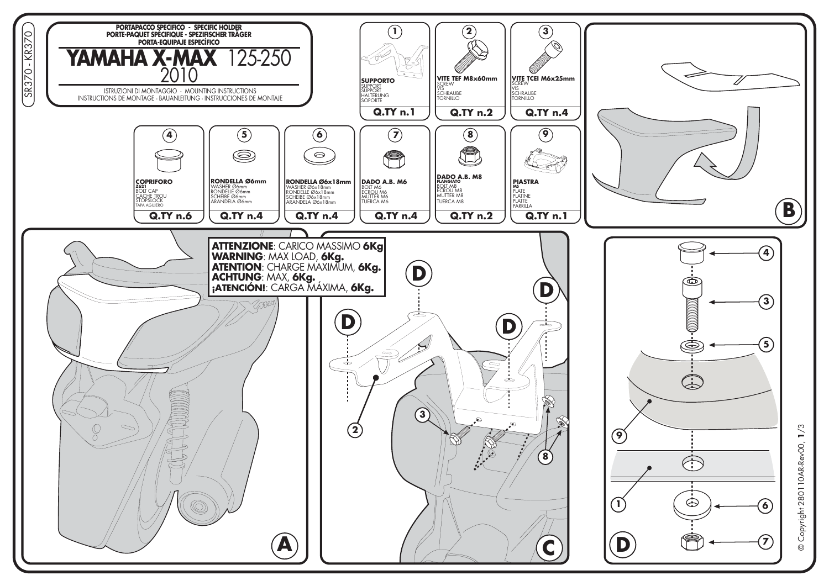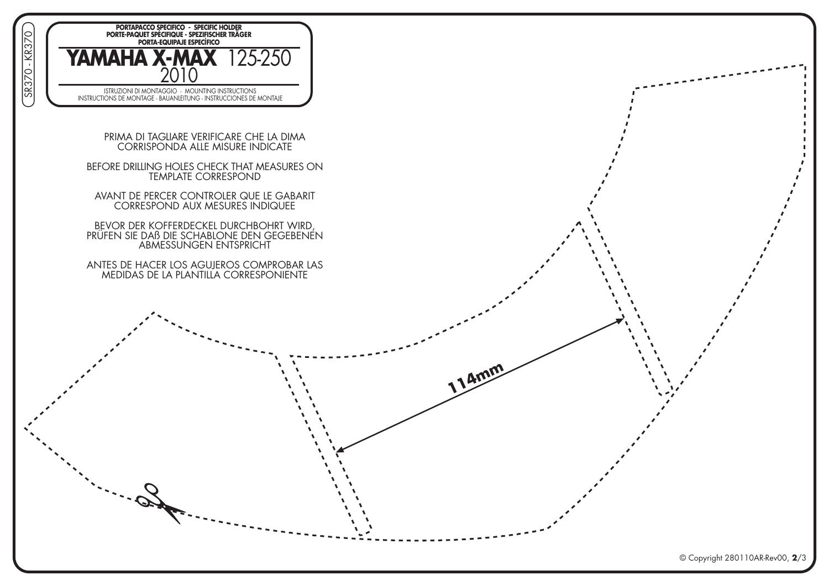